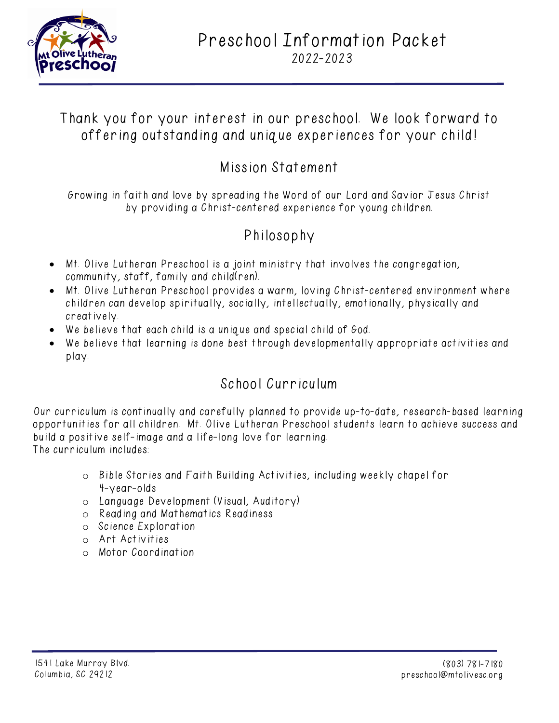

# Preschool Information Packet 2022-2023

## Thank you for your interest in our preschool. We look forward to offering outstanding and unique experiences for your child!

## Mission Statement

Growing in faith and love by spreading the Word of our Lord and Savior Jesus Christ by providing a Christ-centered experience for young children.

# Philosophy

- Mt. Olive Lutheran Preschool is a joint ministry that involves the congregation, community, staff, family and child(ren).
- Mt. Olive Lutheran Preschool provides a warm, loving Christ-centered environment where children can develop spiritually, socially, intellectually, emotionally, physically and creatively.
- We believe that each child is a unique and special child of God.
- We believe that learning is done best through developmentally appropriate activities and play.

# School Curriculum

Our curriculum is continually and carefully planned to provide up-to-date, research-based learning opportunities for all children. Mt. Olive Lutheran Preschool students learn to achieve success and build a positive self-image and a life-long love for learning. The curriculum includes:

- o Bible Stories and Faith Building Activities, including weekly chapel for 4-year-olds
- o Language Development (Visual, Auditory)
- o Reading and Mathematics Readiness
- o Science Exploration
- o Art Activities
- o Motor Coordination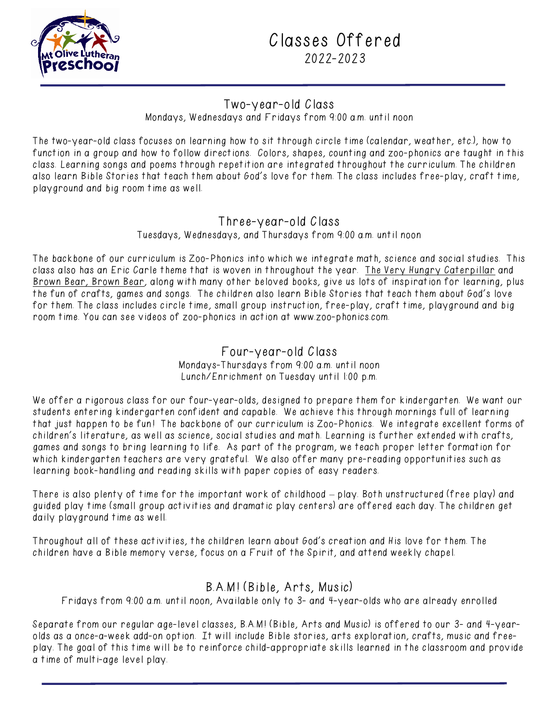

## Classes Offered 2022-2023

### Two-year-old Class

Mondays, Wednesdays and Fridays from 9:00 a.m. until noon

The two-year-old class focuses on learning how to sit through circle time (calendar, weather, etc.), how to function in a group and how to follow directions. Colors, shapes, counting and zoo-phonics are taught in this class. Learning songs and poems through repetition are integrated throughout the curriculum. The children also learn Bible Stories that teach them about God's love for them. The class includes free-play, craft time, playground and big room time as well.

### Three-year-old Class

Tuesdays, Wednesdays, and Thursdays from 9:00 a.m. until noon

The backbone of our curriculum is Zoo-Phonics into which we integrate math, science and social studies. This class also has an Eric Carle theme that is woven in throughout the year. The Very Hungry Caterpillar and Brown Bear, Brown Bear, along with many other beloved books, give us lots of inspiration for learning, plus the fun of crafts, games and songs. The children also learn Bible Stories that teach them about God's love for them. The class includes circle time, small group instruction, free-play, craft time, playground and big room time. You can see videos of zoo-phonics in action at [www.zoo-phonics.com.](http://www.zoo-phonics.com/)

#### Four-year-old Class Mondays-Thursdays from 9:00 a.m. until noon Lunch/Enrichment on Tuesday until 1:00 p.m.

We offer a rigorous class for our four-year-olds, designed to prepare them for kindergarten. We want our students entering kindergarten confident and capable. We achieve this through mornings full of learning that just happen to be fun! The backbone of our curriculum is Zoo-Phonics. We integrate excellent forms of children's literature, as well as science, social studies and math. Learning is further extended with crafts, games and songs to bring learning to life. As part of the program, we teach proper letter formation for which kindergarten teachers are very grateful. We also offer many pre-reading opportunities such as learning book-handling and reading skills with paper copies of easy readers.

There is also plenty of time for the important work of childhood – play. Both unstructured (free play) and guided play time (small group activities and dramatic play centers) are offered each day. The children get daily playground time as well.

Throughout all of these activities, the children learn about God's creation and His love for them. The children have a Bible memory verse, focus on a Fruit of the Spirit, and attend weekly chapel.

## B.A.M! (Bible, Arts, Music)

Fridays from 9:00 a.m. until noon, Available only to 3- and 4-year-olds who are already enrolled

Separate from our regular age-level classes, B.A.M! (Bible, Arts and Music) is offered to our 3- and 4-yearolds as a once-a-week add-on option. It will include Bible stories, arts exploration, crafts, music and freeplay. The goal of this time will be to reinforce child-appropriate skills learned in the classroom and provide a time of multi-age level play.